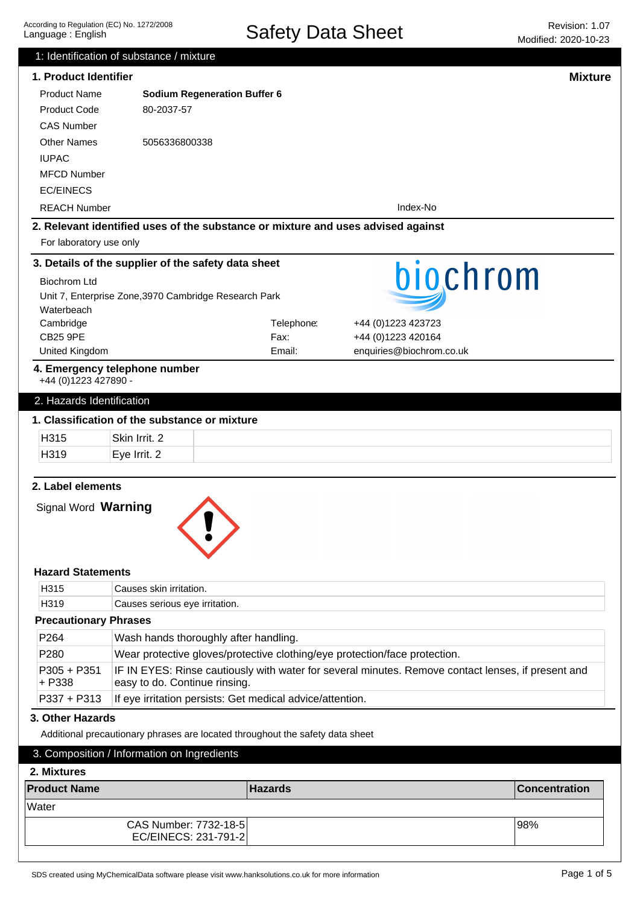|                              | 1: Identification of substance / mixture                                         |                |                                                                                                    |                      |
|------------------------------|----------------------------------------------------------------------------------|----------------|----------------------------------------------------------------------------------------------------|----------------------|
| 1. Product Identifier        |                                                                                  |                |                                                                                                    | <b>Mixture</b>       |
| <b>Product Name</b>          | <b>Sodium Regeneration Buffer 6</b>                                              |                |                                                                                                    |                      |
| <b>Product Code</b>          | 80-2037-57                                                                       |                |                                                                                                    |                      |
| <b>CAS Number</b>            |                                                                                  |                |                                                                                                    |                      |
| <b>Other Names</b>           | 5056336800338                                                                    |                |                                                                                                    |                      |
| <b>IUPAC</b>                 |                                                                                  |                |                                                                                                    |                      |
| <b>MFCD Number</b>           |                                                                                  |                |                                                                                                    |                      |
| <b>EC/EINECS</b>             |                                                                                  |                |                                                                                                    |                      |
| <b>REACH Number</b>          |                                                                                  |                | Index-No                                                                                           |                      |
|                              | 2. Relevant identified uses of the substance or mixture and uses advised against |                |                                                                                                    |                      |
| For laboratory use only      |                                                                                  |                |                                                                                                    |                      |
|                              | 3. Details of the supplier of the safety data sheet                              |                |                                                                                                    |                      |
| <b>Biochrom Ltd</b>          |                                                                                  |                | biochrom                                                                                           |                      |
|                              | Unit 7, Enterprise Zone, 3970 Cambridge Research Park                            |                |                                                                                                    |                      |
| Waterbeach                   |                                                                                  |                |                                                                                                    |                      |
| Cambridge                    |                                                                                  | Telephone:     | +44 (0) 1223 423723                                                                                |                      |
| <b>CB25 9PE</b>              |                                                                                  | Fax:           | +44 (0)1223 420164                                                                                 |                      |
| United Kingdom               |                                                                                  | Email:         | enquiries@biochrom.co.uk                                                                           |                      |
| +44 (0)1223 427890 -         | 4. Emergency telephone number                                                    |                |                                                                                                    |                      |
| 2. Hazards Identification    |                                                                                  |                |                                                                                                    |                      |
|                              | 1. Classification of the substance or mixture                                    |                |                                                                                                    |                      |
| H315                         | Skin Irrit. 2                                                                    |                |                                                                                                    |                      |
| H319                         | Eye Irrit. 2                                                                     |                |                                                                                                    |                      |
|                              |                                                                                  |                |                                                                                                    |                      |
| Signal Word Warning          |                                                                                  |                |                                                                                                    |                      |
| <b>Hazard Statements</b>     |                                                                                  |                |                                                                                                    |                      |
| H315                         | Causes skin irritation.                                                          |                |                                                                                                    |                      |
| H319                         | Causes serious eye irritation.                                                   |                |                                                                                                    |                      |
| <b>Precautionary Phrases</b> |                                                                                  |                |                                                                                                    |                      |
| P264                         | Wash hands thoroughly after handling.                                            |                |                                                                                                    |                      |
| P280                         |                                                                                  |                | Wear protective gloves/protective clothing/eye protection/face protection.                         |                      |
| P305 + P351<br>+ P338        | easy to do. Continue rinsing.                                                    |                | IF IN EYES: Rinse cautiously with water for several minutes. Remove contact lenses, if present and |                      |
| P337 + P313                  | If eye irritation persists: Get medical advice/attention.                        |                |                                                                                                    |                      |
| 3. Other Hazards             |                                                                                  |                |                                                                                                    |                      |
|                              | Additional precautionary phrases are located throughout the safety data sheet    |                |                                                                                                    |                      |
| 2. Mixtures                  | 3. Composition / Information on Ingredients                                      |                |                                                                                                    |                      |
| <b>Product Name</b>          |                                                                                  | <b>Hazards</b> |                                                                                                    | <b>Concentration</b> |
| Water                        |                                                                                  |                |                                                                                                    |                      |
|                              | CAS Number: 7732-18-5<br>EC/EINECS: 231-791-2                                    |                |                                                                                                    | 98%                  |
|                              |                                                                                  |                |                                                                                                    |                      |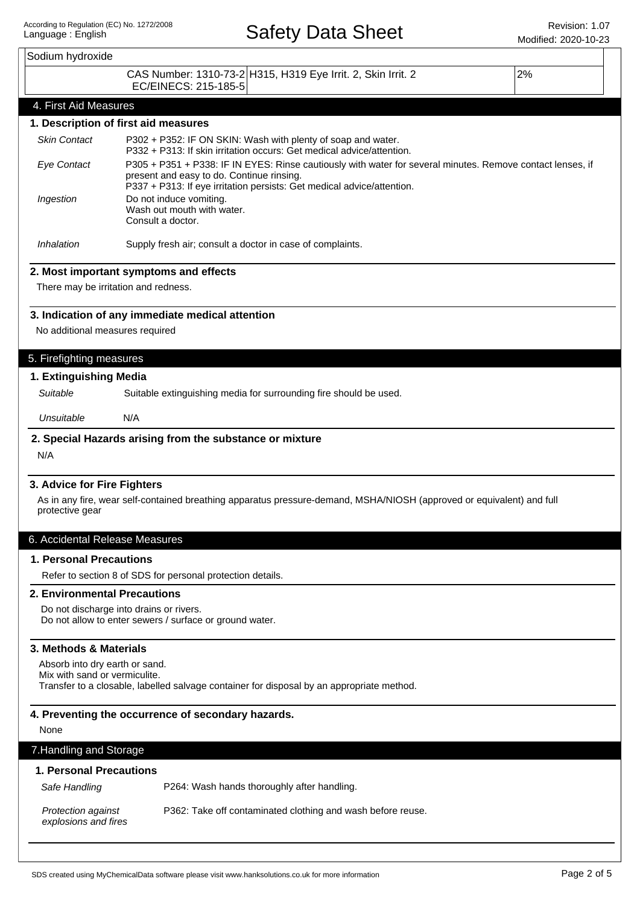|                                                                                                                                                              |                                                                                                                                                                                                                                   | MOQINEG. ZUZU-TU-Z3 |  |  |
|--------------------------------------------------------------------------------------------------------------------------------------------------------------|-----------------------------------------------------------------------------------------------------------------------------------------------------------------------------------------------------------------------------------|---------------------|--|--|
| Sodium hydroxide                                                                                                                                             |                                                                                                                                                                                                                                   |                     |  |  |
|                                                                                                                                                              | CAS Number: 1310-73-2 H315, H319 Eye Irrit. 2, Skin Irrit. 2<br>EC/EINECS: 215-185-5                                                                                                                                              | 2%                  |  |  |
| 4. First Aid Measures                                                                                                                                        |                                                                                                                                                                                                                                   |                     |  |  |
|                                                                                                                                                              | 1. Description of first aid measures                                                                                                                                                                                              |                     |  |  |
| <b>Skin Contact</b>                                                                                                                                          | P302 + P352: IF ON SKIN: Wash with plenty of soap and water.<br>P332 + P313: If skin irritation occurs: Get medical advice/attention.                                                                                             |                     |  |  |
| <b>Eye Contact</b>                                                                                                                                           | P305 + P351 + P338: IF IN EYES: Rinse cautiously with water for several minutes. Remove contact lenses, if<br>present and easy to do. Continue rinsing.<br>P337 + P313: If eye irritation persists: Get medical advice/attention. |                     |  |  |
| Ingestion                                                                                                                                                    | Do not induce vomiting.<br>Wash out mouth with water.<br>Consult a doctor.                                                                                                                                                        |                     |  |  |
| Inhalation                                                                                                                                                   | Supply fresh air; consult a doctor in case of complaints.                                                                                                                                                                         |                     |  |  |
|                                                                                                                                                              | 2. Most important symptoms and effects                                                                                                                                                                                            |                     |  |  |
| There may be irritation and redness.                                                                                                                         |                                                                                                                                                                                                                                   |                     |  |  |
|                                                                                                                                                              | 3. Indication of any immediate medical attention                                                                                                                                                                                  |                     |  |  |
| No additional measures required                                                                                                                              |                                                                                                                                                                                                                                   |                     |  |  |
| 5. Firefighting measures                                                                                                                                     |                                                                                                                                                                                                                                   |                     |  |  |
| 1. Extinguishing Media                                                                                                                                       |                                                                                                                                                                                                                                   |                     |  |  |
| Suitable                                                                                                                                                     | Suitable extinguishing media for surrounding fire should be used.                                                                                                                                                                 |                     |  |  |
| Unsuitable                                                                                                                                                   | N/A                                                                                                                                                                                                                               |                     |  |  |
|                                                                                                                                                              | 2. Special Hazards arising from the substance or mixture                                                                                                                                                                          |                     |  |  |
| N/A                                                                                                                                                          |                                                                                                                                                                                                                                   |                     |  |  |
| 3. Advice for Fire Fighters                                                                                                                                  |                                                                                                                                                                                                                                   |                     |  |  |
| As in any fire, wear self-contained breathing apparatus pressure-demand, MSHA/NIOSH (approved or equivalent) and full<br>protective gear                     |                                                                                                                                                                                                                                   |                     |  |  |
| 6. Accidental Release Measures                                                                                                                               |                                                                                                                                                                                                                                   |                     |  |  |
| <b>1. Personal Precautions</b>                                                                                                                               |                                                                                                                                                                                                                                   |                     |  |  |
|                                                                                                                                                              | Refer to section 8 of SDS for personal protection details.                                                                                                                                                                        |                     |  |  |
| 2. Environmental Precautions                                                                                                                                 |                                                                                                                                                                                                                                   |                     |  |  |
|                                                                                                                                                              | Do not discharge into drains or rivers.<br>Do not allow to enter sewers / surface or ground water.                                                                                                                                |                     |  |  |
| 3. Methods & Materials                                                                                                                                       |                                                                                                                                                                                                                                   |                     |  |  |
| Absorb into dry earth or sand.<br>Mix with sand or vermiculite.<br>Transfer to a closable, labelled salvage container for disposal by an appropriate method. |                                                                                                                                                                                                                                   |                     |  |  |
|                                                                                                                                                              |                                                                                                                                                                                                                                   |                     |  |  |
| 4. Preventing the occurrence of secondary hazards.<br>None                                                                                                   |                                                                                                                                                                                                                                   |                     |  |  |
|                                                                                                                                                              |                                                                                                                                                                                                                                   |                     |  |  |
| 7. Handling and Storage                                                                                                                                      |                                                                                                                                                                                                                                   |                     |  |  |
| 1. Personal Precautions<br>Safe Handling                                                                                                                     | P264: Wash hands thoroughly after handling.                                                                                                                                                                                       |                     |  |  |
| Protection against<br>explosions and fires                                                                                                                   | P362: Take off contaminated clothing and wash before reuse.                                                                                                                                                                       |                     |  |  |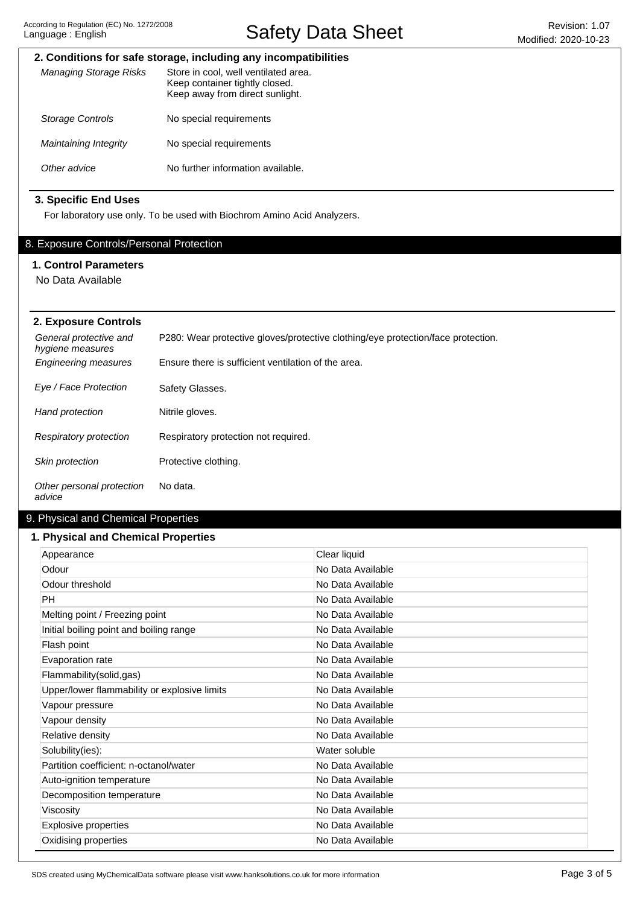Safety Data Sheet Revision: 1.07

# **2. Conditions for safe storage, including any incompatibilities**

| Managing Storage Risks  | Store in cool, well ventilated area.<br>Keep container tightly closed.<br>Keep away from direct sunlight. |
|-------------------------|-----------------------------------------------------------------------------------------------------------|
| <b>Storage Controls</b> | No special requirements                                                                                   |
| Maintaining Integrity   | No special requirements                                                                                   |
| Other advice            | No further information available.                                                                         |

# **3. Specific End Uses**

For laboratory use only. To be used with Biochrom Amino Acid Analyzers.

# 8. Exposure Controls/Personal Protection

# **1. Control Parameters**

No Data Available

| 2. Exposure Controls                       |                                                                                  |  |  |  |
|--------------------------------------------|----------------------------------------------------------------------------------|--|--|--|
| General protective and<br>hygiene measures | P280: Wear protective gloves/protective clothing/eye protection/face protection. |  |  |  |
| <b>Engineering measures</b>                | Ensure there is sufficient ventilation of the area.                              |  |  |  |
| Eye / Face Protection                      | Safety Glasses.                                                                  |  |  |  |
| Hand protection                            | Nitrile gloves.                                                                  |  |  |  |
| <b>Respiratory protection</b>              | Respiratory protection not required.                                             |  |  |  |
| <b>Skin protection</b>                     | Protective clothing.                                                             |  |  |  |
| Other personal protection<br>advice        | No data.                                                                         |  |  |  |

# 9. Physical and Chemical Properties

### **1. Physical and Chemical Properties**

| Appearance                                   | Clear liquid      |
|----------------------------------------------|-------------------|
| Odour                                        | No Data Available |
| Odour threshold                              | No Data Available |
| PH                                           | No Data Available |
| Melting point / Freezing point               | No Data Available |
| Initial boiling point and boiling range      | No Data Available |
| Flash point                                  | No Data Available |
| Evaporation rate                             | No Data Available |
| Flammability(solid,gas)                      | No Data Available |
| Upper/lower flammability or explosive limits | No Data Available |
| Vapour pressure                              | No Data Available |
| Vapour density                               | No Data Available |
| Relative density                             | No Data Available |
| Solubility(ies):                             | Water soluble     |
| Partition coefficient: n-octanol/water       | No Data Available |
| Auto-ignition temperature                    | No Data Available |
| Decomposition temperature                    | No Data Available |
| Viscosity                                    | No Data Available |
| Explosive properties                         | No Data Available |
| Oxidising properties                         | No Data Available |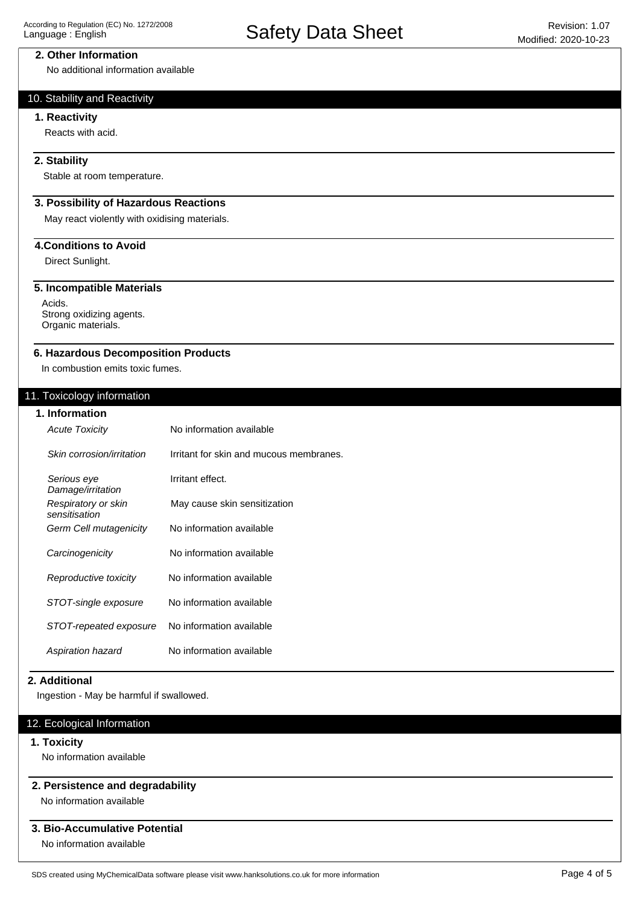### **2. Other Information**

No additional information available

# 10. Stability and Reactivity

### **1. Reactivity**

Reacts with acid.

## **2. Stability**

Stable at room temperature.

# **3. Possibility of Hazardous Reactions**

May react violently with oxidising materials.

# **4.Conditions to Avoid**

Direct Sunlight.

### **5. Incompatible Materials**

Acids. Strong oxidizing agents. Organic materials.

#### **6. Hazardous Decomposition Products**

In combustion emits toxic fumes.

## 11. Toxicology information

| 1. Information                       |                                         |
|--------------------------------------|-----------------------------------------|
| <b>Acute Toxicity</b>                | No information available                |
| Skin corrosion/irritation            | Irritant for skin and mucous membranes. |
| Serious eye<br>Damage/irritation     | Irritant effect.                        |
| Respiratory or skin<br>sensitisation | May cause skin sensitization            |
| Germ Cell mutagenicity               | No information available                |
| Carcinogenicity                      | No information available                |
| Reproductive toxicity                | No information available                |
| STOT-single exposure                 | No information available                |
| STOT-repeated exposure               | No information available                |
| Aspiration hazard                    | No information available                |

### **2. Additional**

Ingestion - May be harmful if swallowed.

## 12. Ecological Information

## **1. Toxicity**

No information available

### **2. Persistence and degradability**

No information available

# **3. Bio-Accumulative Potential**

No information available